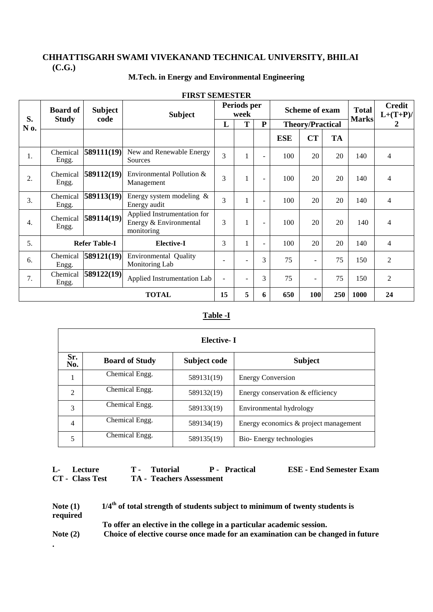# **M.Tech. in Energy and Environmental Engineering**

| S.           | <b>Board of</b><br><b>Study</b> | <b>Subject</b><br>code | <b>Subject</b>                                                      | Periods per<br>week |   |                |                         | <b>Scheme of exam</b>    | <b>Total</b><br><b>Marks</b> | <b>Credit</b><br>$L+(T+P)$ / |                |
|--------------|---------------------------------|------------------------|---------------------------------------------------------------------|---------------------|---|----------------|-------------------------|--------------------------|------------------------------|------------------------------|----------------|
| N 0.         |                                 |                        |                                                                     | L                   | T | P              | <b>Theory/Practical</b> |                          |                              |                              | 2              |
|              |                                 |                        |                                                                     |                     |   |                | <b>ESE</b>              | <b>CT</b>                | <b>TA</b>                    |                              |                |
| 1.           | Chemical<br>Engg.               | 589111(19)             | New and Renewable Energy<br>Sources                                 | $\overline{3}$      |   | $\blacksquare$ | 100                     | 20                       | 20                           | 140                          | $\overline{4}$ |
| 2.           | Chemical<br>Engg.               | 589112(19)             | Environmental Pollution &<br>Management                             | 3                   |   | ٠              | 100                     | 20                       | 20                           | 140                          | $\overline{4}$ |
| 3.           | Chemical<br>Engg.               | 589113(19)             | Energy system modeling $\&$<br>Energy audit                         | $\overline{3}$      |   | $\blacksquare$ | 100                     | 20                       | 20                           | 140                          | $\overline{4}$ |
| 4.           | Chemical<br>Engg.               | 589114(19)             | Applied Instrumentation for<br>Energy & Environmental<br>monitoring | 3                   |   | $\blacksquare$ | 100                     | 20                       | 20                           | 140                          | 4              |
| 5.           | <b>Refer Table-I</b>            |                        | <b>Elective-I</b>                                                   | 3                   |   | $\blacksquare$ | 100                     | 20                       | 20                           | 140                          | $\overline{4}$ |
| 6.           | Chemical<br>Engg.               | 589121(19)             | <b>Environmental Quality</b><br>Monitoring Lab                      |                     |   | 3              | 75                      | ۰                        | 75                           | 150                          | $\overline{c}$ |
| 7.           | Chemical<br>Engg.               | 589122(19)             | Applied Instrumentation Lab                                         |                     |   | 3              | 75                      | $\overline{\phantom{0}}$ | 75                           | 150                          | 2              |
| <b>TOTAL</b> |                                 |                        |                                                                     | 15                  | 5 | 6              | 650                     | 100                      | 250                          | 1000                         | 24             |

## **FIRST SEMESTER**

## **Table -I**

|                | Elective- I           |              |                                       |  |  |  |  |  |  |  |  |
|----------------|-----------------------|--------------|---------------------------------------|--|--|--|--|--|--|--|--|
| Sr.<br>No.     | <b>Board of Study</b> | Subject code | <b>Subject</b>                        |  |  |  |  |  |  |  |  |
| 1              | Chemical Engg.        | 589131(19)   | <b>Energy Conversion</b>              |  |  |  |  |  |  |  |  |
| $\mathfrak{D}$ | Chemical Engg.        | 589132(19)   | Energy conservation & efficiency      |  |  |  |  |  |  |  |  |
| 3              | Chemical Engg.        | 589133(19)   | Environmental hydrology               |  |  |  |  |  |  |  |  |
| $\overline{4}$ | Chemical Engg.        | 589134(19)   | Energy economics & project management |  |  |  |  |  |  |  |  |
| 5              | Chemical Engg.        | 589135(19)   | Bio-Energy technologies               |  |  |  |  |  |  |  |  |

| L- Lecture                    | T - Tutorial                    | <b>P</b> - Practical | <b>ESE - End Semester Exam</b> |
|-------------------------------|---------------------------------|----------------------|--------------------------------|
| <b>CT</b> - <b>Class</b> Test | <b>TA - Teachers Assessment</b> |                      |                                |

| Note $(1)$ | $1/4th$ of total strength of students subject to minimum of twenty students is  |
|------------|---------------------------------------------------------------------------------|
| required   |                                                                                 |
|            | To offer an elective in the college in a particular academic session.           |
| Note $(2)$ | Choice of elective course once made for an examination can be changed in future |

**.**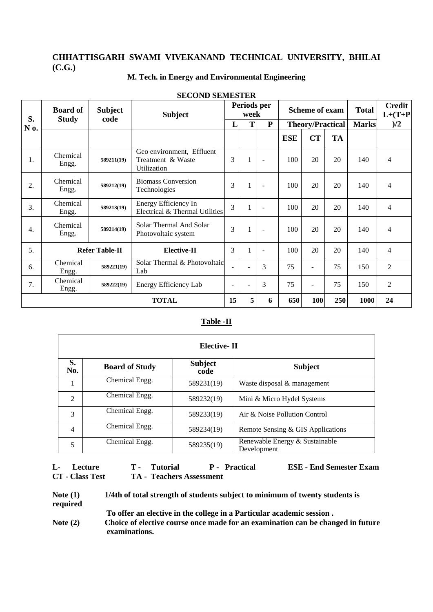## **M. Tech. in Energy and Environmental Engineering**

| S.               | <b>Board of</b>       | <b>Subject</b> | <b>Subject</b>                                                |                          | Periods per<br>week      |                          |                         | <b>Scheme of exam</b> |           | <b>Total</b> | <b>Credit</b><br>$L+(T+P)$ |
|------------------|-----------------------|----------------|---------------------------------------------------------------|--------------------------|--------------------------|--------------------------|-------------------------|-----------------------|-----------|--------------|----------------------------|
| N 0.             | <b>Study</b>          | code           |                                                               |                          | T                        | ${\bf P}$                | <b>Theory/Practical</b> |                       |           | <b>Marks</b> | )/2                        |
|                  |                       |                |                                                               |                          |                          |                          | <b>ESE</b>              | <b>CT</b>             | <b>TA</b> |              |                            |
| 1.               | Chemical<br>Engg.     | 589211(19)     | Geo environment, Effluent<br>Treatment & Waste<br>Utilization | 3                        | 1                        | $\blacksquare$           | 100                     | 20                    | 20        | 140          | 4                          |
| 2.               | Chemical<br>Engg.     | 589212(19)     | <b>Biomass Conversion</b><br>Technologies                     |                          | 1                        | $\blacksquare$           | 100                     | 20                    | 20        | 140          | $\overline{4}$             |
| 3.               | Chemical<br>Engg.     | 589213(19)     | Energy Efficiency In<br>Electrical & Thermal Utilities        | $\mathcal{E}$            |                          | $\overline{\phantom{a}}$ | 100                     | 20                    | 20        | 140          | 4                          |
| $\overline{4}$ . | Chemical<br>Engg.     | 589214(19)     | Solar Thermal And Solar<br>Photovoltaic system                | 3                        |                          |                          | 100                     | 20                    | 20        | 140          | 4                          |
| 5.               | <b>Refer Table-II</b> |                | <b>Elective-II</b>                                            | 3                        | 1                        | $\blacksquare$           | 100                     | 20                    | 20        | 140          | $\overline{4}$             |
| 6.               | Chemical<br>Engg.     | 589221(19)     | Solar Thermal & Photovoltaic<br>Lab                           |                          |                          | 3                        | 75                      |                       | 75        | 150          | 2                          |
| 7.               | Chemical<br>Engg.     | 589222(19)     | Energy Efficiency Lab                                         | $\overline{\phantom{a}}$ | $\overline{\phantom{0}}$ | 3                        | 75                      | Ξ.                    | 75        | 150          | $\overline{2}$             |
|                  | <b>TOTAL</b>          |                |                                                               | 15                       | 5                        | 6                        | 650                     | 100                   | 250       | 1000         | 24                         |

#### **SECOND SEMESTER**

#### **Table -II**

|                | Elective- II                                    |            |                                               |  |  |  |  |  |  |  |  |
|----------------|-------------------------------------------------|------------|-----------------------------------------------|--|--|--|--|--|--|--|--|
| S.<br>No.      | <b>Subject</b><br><b>Board of Study</b><br>code |            | <b>Subject</b>                                |  |  |  |  |  |  |  |  |
|                | Chemical Engg.                                  | 589231(19) | Waste disposal & management                   |  |  |  |  |  |  |  |  |
| $\mathfrak{D}$ | Chemical Engg.                                  | 589232(19) | Mini & Micro Hydel Systems                    |  |  |  |  |  |  |  |  |
| 3              | Chemical Engg.                                  | 589233(19) | Air & Noise Pollution Control                 |  |  |  |  |  |  |  |  |
| $\overline{4}$ | Chemical Engg.                                  | 589234(19) | Remote Sensing & GIS Applications             |  |  |  |  |  |  |  |  |
| 5              | Chemical Engg.<br>589235(19)                    |            | Renewable Energy & Sustainable<br>Development |  |  |  |  |  |  |  |  |

#### **L-** Lecture T - Tutorial P - Practical ESE - End Semester Exam CT - Class Test TA - Teachers Assessment **TA - Teachers Assessment**

| Note $(1)$ | 1/4th of total strength of students subject to minimum of twenty students is    |
|------------|---------------------------------------------------------------------------------|
| required   |                                                                                 |
|            | To offer an elective in the college in a Particular academic session.           |
| Note $(2)$ | Choice of elective course once made for an examination can be changed in future |
|            | examinations.                                                                   |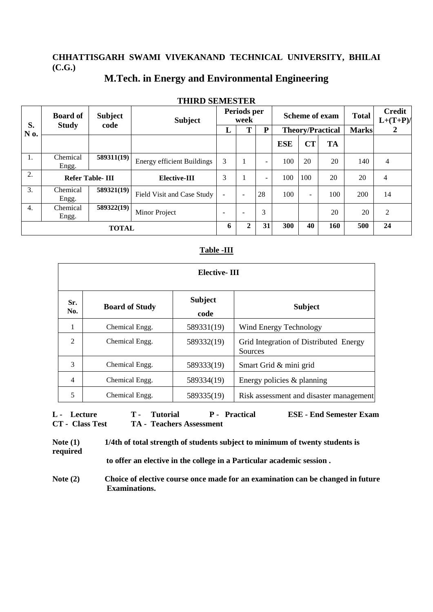# **M.Tech. in Energy and Environmental Engineering**

|                  | тицур орган бар        |                |                                   |                     |                          |     |            |                         |              |                              |                   |
|------------------|------------------------|----------------|-----------------------------------|---------------------|--------------------------|-----|------------|-------------------------|--------------|------------------------------|-------------------|
| S.               | <b>Board of</b>        | <b>Subject</b> | <b>Subject</b>                    | Periods per<br>week |                          |     |            | <b>Scheme of exam</b>   | <b>Total</b> | <b>Credit</b><br>$L+(T+P)$ / |                   |
| N 0.             | <b>Study</b>           | code           |                                   | L                   |                          | P   |            | <b>Theory/Practical</b> |              |                              | <b>Marks</b><br>2 |
|                  |                        |                |                                   |                     |                          |     | <b>ESE</b> | CT                      | <b>TA</b>    |                              |                   |
| 1.               | Chemical<br>Engg.      | 589311(19)     | <b>Energy efficient Buildings</b> | 3                   |                          |     | 100        | 20                      | 20           | 140                          | 4                 |
| 2.               | <b>Refer Table-III</b> |                | Elective-III                      | 3                   |                          | -   | 100        | 100                     | 20           | 20                           | 4                 |
| 3.               | Chemical<br>Engg.      | 589321(19)     | Field Visit and Case Study        |                     | $\overline{\phantom{a}}$ | 28  | 100        | $\equiv$                | 100          | 200                          | 14                |
| $\overline{4}$ . | Chemical<br>Engg.      | 589322(19)     | Minor Project                     |                     | $\overline{\phantom{0}}$ | 3   |            |                         | 20           | 20                           | 2                 |
| <b>TOTAL</b>     |                        |                | 6                                 | $\mathbf{2}$        | 31                       | 300 | 40         | 160                     | 500          | 24                           |                   |

# **THIRD SEMESTER**

#### **Table -III**

|                | Elective-III          |                        |                                                   |  |  |  |  |  |  |  |
|----------------|-----------------------|------------------------|---------------------------------------------------|--|--|--|--|--|--|--|
| Sr.<br>No.     | <b>Board of Study</b> | <b>Subject</b><br>code | <b>Subject</b>                                    |  |  |  |  |  |  |  |
| 1              | Chemical Engg.        | 589331(19)             | Wind Energy Technology                            |  |  |  |  |  |  |  |
| 2              | Chemical Engg.        | 589332(19)             | Grid Integration of Distributed Energy<br>Sources |  |  |  |  |  |  |  |
| 3              | Chemical Engg.        | 589333(19)             | Smart Grid & mini grid                            |  |  |  |  |  |  |  |
| $\overline{4}$ | Chemical Engg.        | 589334(19)             | Energy policies & planning                        |  |  |  |  |  |  |  |
| 5              | Chemical Engg.        | 589335(19)             | Risk assessment and disaster management           |  |  |  |  |  |  |  |

**L - Lecture T - Tutorial P - Practical ESE - End Semester Exam CT - Class Test TA - Teachers Assessment**

**Note (1) 1/4th of total strength of students subject to minimum of twenty students is required to offer an elective in the college in a Particular academic session .**

**Note (2) Choice of elective course once made for an examination can be changed in future Examinations.**